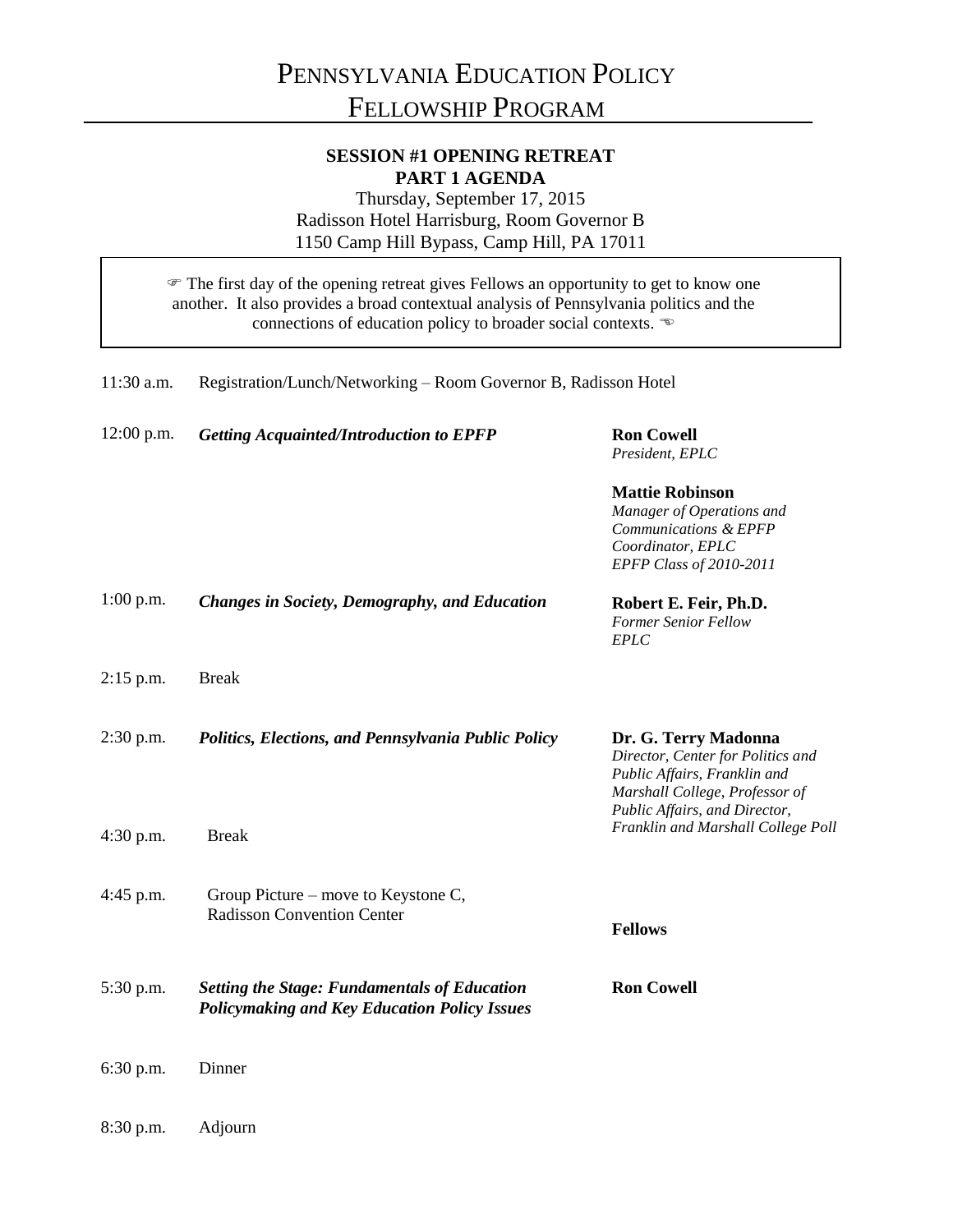## **SESSION #1 OPENING RETREAT PART 1 AGENDA**

Thursday, September 17, 2015 Radisson Hotel Harrisburg, Room Governor B 1150 Camp Hill Bypass, Camp Hill, PA 17011

 The first day of the opening retreat gives Fellows an opportunity to get to know one another. It also provides a broad contextual analysis of Pennsylvania politics and the connections of education policy to broader social contexts.

| 11:30 a.m.   | Registration/Lunch/Networking - Room Governor B, Radisson Hotel                                            |                                                                                                                                                              |
|--------------|------------------------------------------------------------------------------------------------------------|--------------------------------------------------------------------------------------------------------------------------------------------------------------|
| $12:00$ p.m. | <b>Getting Acquainted/Introduction to EPFP</b>                                                             | <b>Ron Cowell</b><br>President, EPLC                                                                                                                         |
|              |                                                                                                            | <b>Mattie Robinson</b><br>Manager of Operations and<br>Communications & EPFP<br>Coordinator, EPLC<br>EPFP Class of 2010-2011                                 |
| $1:00$ p.m.  | <b>Changes in Society, Demography, and Education</b>                                                       | Robert E. Feir, Ph.D.<br><b>Former Senior Fellow</b><br><b>EPLC</b>                                                                                          |
| $2:15$ p.m.  | <b>Break</b>                                                                                               |                                                                                                                                                              |
| $2:30$ p.m.  | Politics, Elections, and Pennsylvania Public Policy                                                        | Dr. G. Terry Madonna<br>Director, Center for Politics and<br>Public Affairs, Franklin and<br>Marshall College, Professor of<br>Public Affairs, and Director, |
| $4:30$ p.m.  | <b>Break</b>                                                                                               | Franklin and Marshall College Poll                                                                                                                           |
| 4:45 p.m.    | Group Picture – move to Keystone C,<br><b>Radisson Convention Center</b>                                   | <b>Fellows</b>                                                                                                                                               |
| 5:30 p.m.    | <b>Setting the Stage: Fundamentals of Education</b><br><b>Policymaking and Key Education Policy Issues</b> | <b>Ron Cowell</b>                                                                                                                                            |
| 6:30 p.m.    | Dinner                                                                                                     |                                                                                                                                                              |

8:30 p.m. Adjourn